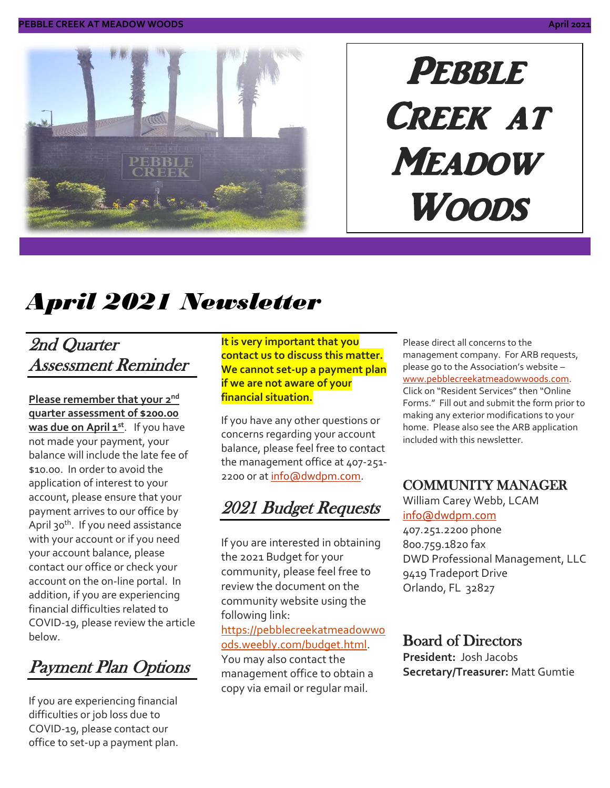

# PEBBLE Creek at **MEADOW WOODS**

# *April 2021 Newsletter*

### 2nd Quarter Assessment Reminder

**Please remember that your 2 nd quarter assessment of \$200.00 was due on April 1 st** . If you have not made your payment, your balance will include the late fee of \$10.00. In order to avoid the application of interest to your account, please ensure that your payment arrives to our office by April 30<sup>th</sup>. If you need assistance with your account or if you need your account balance, please contact our office or check your account on the on-line portal. In addition, if you are experiencing financial difficulties related to COVID-19, please review the article below.

Payment Plan Options

If you are experiencing financial difficulties or job loss due to COVID-19, please contact our office to set-up a payment plan. **It is very important that you contact us to discuss this matter. We cannot set-up a payment plan if we are not aware of your financial situation.**

If you have any other questions or concerns regarding your account balance, please feel free to contact the management office at 407-251 2200 or at [info@dwdpm.com.](mailto:info@dwdpm.com)

2021 Budget Requests

If you are interested in obtaining the 2021 Budget for your community, please feel free to review the document on the community website using the following link: [https://pebblecreekatmeadowwo](https://pebblecreekatmeadowwoods.weebly.com/budget.html)

[ods.weebly.com/budget.html.](https://pebblecreekatmeadowwoods.weebly.com/budget.html) You may also contact the management office to obtain a copy via email or regular mail.

Please direct all concerns to the management company. For ARB requests, please go to the Association's website – [www.pebblecreekatmeadowwoods.com.](http://www.pebblecreekatmeadowwoods.com/) Click on "Resident Services" then "Online Forms." Fill out and submit the form prior to making any exterior modifications to your home. Please also see the ARB application included with this newsletter.

#### COMMUNITY MANAGER

William Carey Webb, LCAM [info@dwdpm.com](mailto:info@dwdpm.com)  407.251.2200 phone 800.759.1820 fax DWD Professional Management, LLC 9419 Tradeport Drive Orlando, FL 32827

#### Board of Directors

**President:** Josh Jacobs **Secretary/Treasurer:** Matt Gumtie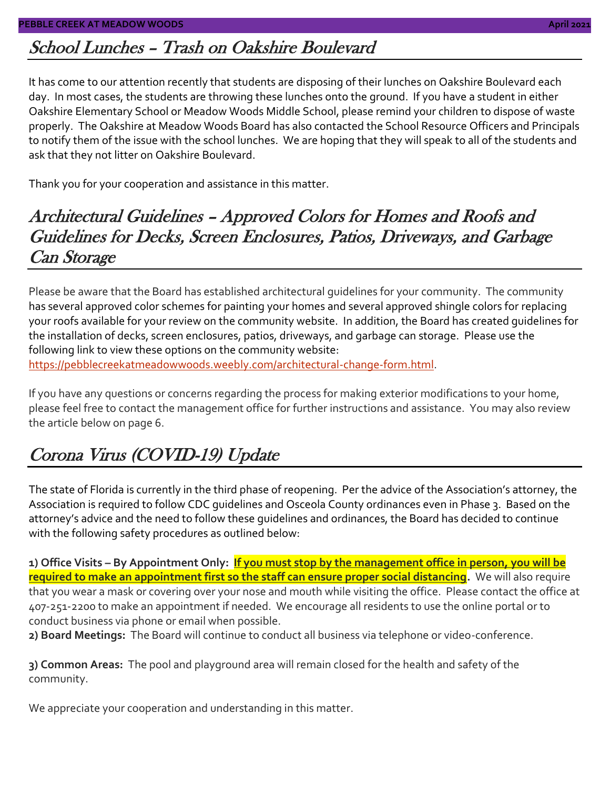### School Lunches – Trash on Oakshire Boulevard

It has come to our attention recently that students are disposing of their lunches on Oakshire Boulevard each day. In most cases, the students are throwing these lunches onto the ground. If you have a student in either Oakshire Elementary School or Meadow Woods Middle School, please remind your children to dispose of waste properly. The Oakshire at Meadow Woods Board has also contacted the School Resource Officers and Principals to notify them of the issue with the school lunches. We are hoping that they will speak to all of the students and ask that they not litter on Oakshire Boulevard.

Thank you for your cooperation and assistance in this matter.

#### Architectural Guidelines – Approved Colors for Homes and Roofs and Guidelines for Decks, Screen Enclosures, Patios, Driveways, and Garbage Can Storage

Please be aware that the Board has established architectural guidelines for your community. The community has several approved color schemes for painting your homes and several approved shingle colors for replacing your roofs available for your review on the community website. In addition, the Board has created guidelines for the installation of decks, screen enclosures, patios, driveways, and garbage can storage. Please use the following link to view these options on the community website: [https://pebblecreekatmeadowwoods.weebly.com/architectural-change-form.html.](https://pebblecreekatmeadowwoods.weebly.com/architectural-change-form.html)

If you have any questions or concerns regarding the process for making exterior modifications to your home, please feel free to contact the management office for further instructions and assistance. You may also review the article below on page 6.

# Corona Virus (COVID-19) Update

The state of Florida is currently in the third phase of reopening. Per the advice of the Association's attorney, the Association is required to follow CDC guidelines and Osceola County ordinances even in Phase 3. Based on the attorney's advice and the need to follow these guidelines and ordinances, the Board has decided to continue with the following safety procedures as outlined below:

**1) Office Visits – By Appointment Only: If you must stop by the management office in person, you will be required to make an appointment first so the staff can ensure proper social distancing.** We will also require that you wear a mask or covering over your nose and mouth while visiting the office. Please contact the office at 407-251-2200 to make an appointment if needed. We encourage all residents to use the online portal or to conduct business via phone or email when possible.

**2) Board Meetings:** The Board will continue to conduct all business via telephone or video-conference.

**3) Common Areas:** The pool and playground area will remain closed for the health and safety of the community.

We appreciate your cooperation and understanding in this matter.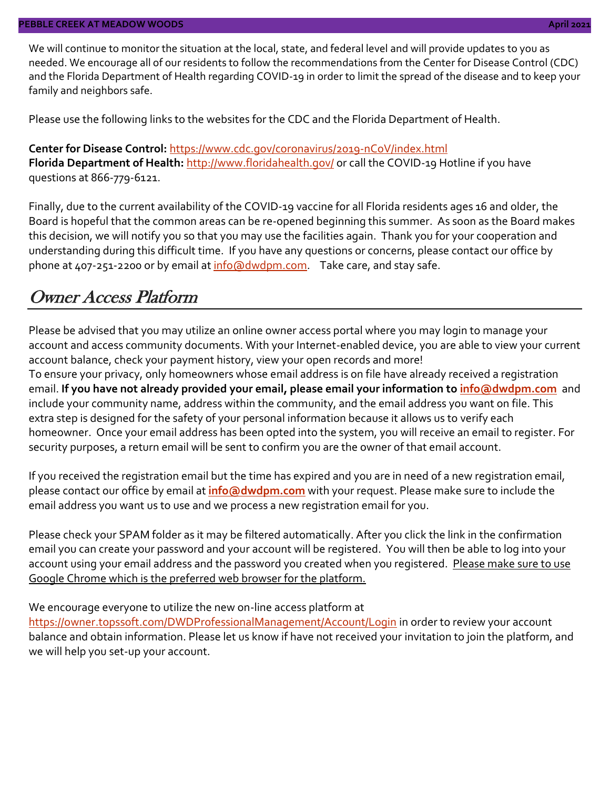We will continue to monitor the situation at the local, state, and federal level and will provide updates to you as needed. We encourage all of our residents to follow the recommendations from the Center for Disease Control (CDC) and the Florida Department of Health regarding COVID-19 in order to limit the spread of the disease and to keep your family and neighbors safe.

Please use the following links to the websites for the CDC and the Florida Department of Health.

**Center for Disease Control:** <https://www.cdc.gov/coronavirus/2019-nCoV/index.html> Florida Department of Health: <http://www.floridahealth.gov/> or call the COVID-19 Hotline if you have questions at 866-779-6121.

Finally, due to the current availability of the COVID-19 vaccine for all Florida residents ages 16 and older, the Board is hopeful that the common areas can be re-opened beginning this summer. As soon as the Board makes this decision, we will notify you so that you may use the facilities again. Thank you for your cooperation and understanding during this difficult time. If you have any questions or concerns, please contact our office by phone at 407-251-2200 or by email at [info@dwdpm.com.](mailto:info@dwdpm.com) Take care, and stay safe.

#### Owner Access Platform

Please be advised that you may utilize an online owner access portal where you may login to manage your account and access community documents. With your Internet-enabled device, you are able to view your current account balance, check your payment history, view your open records and more!

To ensure your privacy, only homeowners whose email address is on file have already received a registration email. **If you have not already provided your email, please email your information to [info@dwdpm.com](mailto:info@dwdpm.com)** and include your community name, address within the community, and the email address you want on file. This extra step is designed for the safety of your personal information because it allows us to verify each homeowner. Once your email address has been opted into the system, you will receive an email to register. For security purposes, a return email will be sent to confirm you are the owner of that email account.

If you received the registration email but the time has expired and you are in need of a new registration email, please contact our office by email at **[info@dwdpm.com](mailto:info@dwdpm.com)** with your request. Please make sure to include the email address you want us to use and we process a new registration email for you.

Please check your SPAM folder as it may be filtered automatically. After you click the link in the confirmation email you can create your password and your account will be registered. You will then be able to log into your account using your email address and the password you created when you registered. Please make sure to use Google Chrome which is the preferred web browser for the platform.

We encourage everyone to utilize the new on-line access platform at

<https://owner.topssoft.com/DWDProfessionalManagement/Account/Login> in order to review your account balance and obtain information. Please let us know if have not received your invitation to join the platform, and we will help you set-up your account.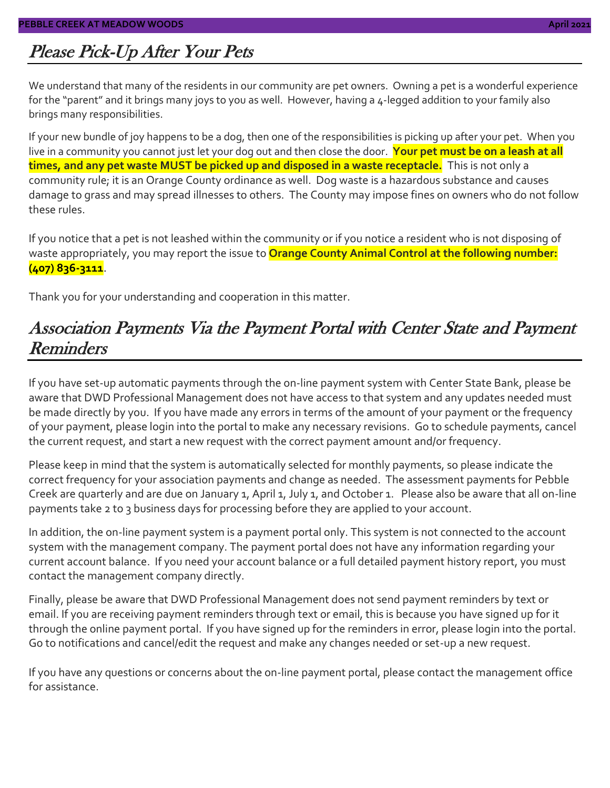# Please Pick-Up After Your Pets

We understand that many of the residents in our community are pet owners. Owning a pet is a wonderful experience for the "parent" and it brings many joys to you as well. However, having a 4-legged addition to your family also brings many responsibilities.

If your new bundle of joy happens to be a dog, then one of the responsibilities is picking up after your pet. When you live in a community you cannot just let your dog out and then close the door. **Your pet must be on a leash at all times, and any pet waste MUST be picked up and disposed in a waste receptacle.** This is not only a community rule; it is an Orange County ordinance as well. Dog waste is a hazardous substance and causes damage to grass and may spread illnesses to others. The County may impose fines on owners who do not follow these rules.

If you notice that a pet is not leashed within the community or if you notice a resident who is not disposing of waste appropriately, you may report the issue to **Orange County Animal Control at the following number: (407) 836-3111**.

Thank you for your understanding and cooperation in this matter.

#### Association Payments Via the Payment Portal with Center State and Payment **Reminders**

If you have set-up automatic payments through the on-line payment system with Center State Bank, please be aware that DWD Professional Management does not have access to that system and any updates needed must be made directly by you. If you have made any errors in terms of the amount of your payment or the frequency of your payment, please login into the portal to make any necessary revisions. Go to schedule payments, cancel the current request, and start a new request with the correct payment amount and/or frequency.

Please keep in mind that the system is automatically selected for monthly payments, so please indicate the correct frequency for your association payments and change as needed. The assessment payments for Pebble Creek are quarterly and are due on January 1, April 1, July 1, and October 1. Please also be aware that all on-line payments take 2 to 3 business days for processing before they are applied to your account.

In addition, the on-line payment system is a payment portal only. This system is not connected to the account system with the management company. The payment portal does not have any information regarding your current account balance. If you need your account balance or a full detailed payment history report, you must contact the management company directly.

Finally, please be aware that DWD Professional Management does not send payment reminders by text or email. If you are receiving payment reminders through text or email, this is because you have signed up for it through the online payment portal. If you have signed up for the reminders in error, please login into the portal. Go to notifications and cancel/edit the request and make any changes needed or set-up a new request.

If you have any questions or concerns about the on-line payment portal, please contact the management office for assistance.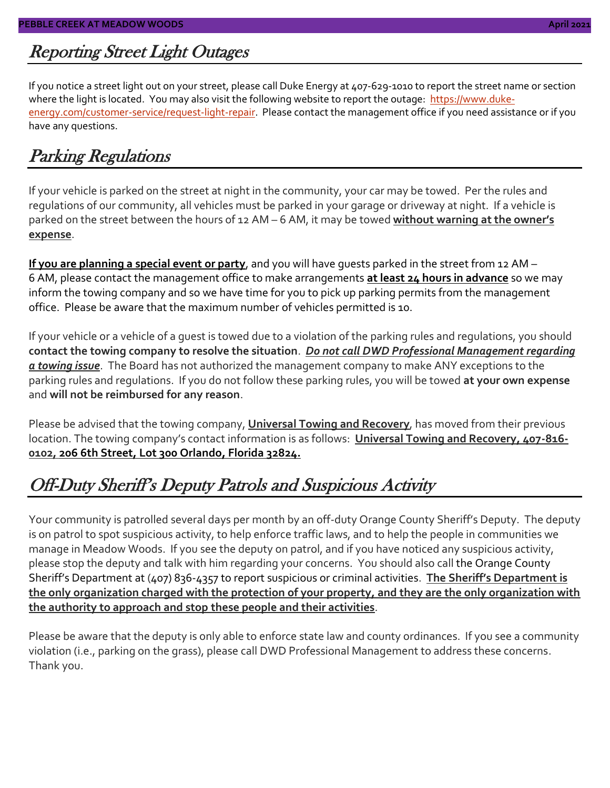# Reporting Street Light Outages

If you notice a street light out on your street, please call Duke Energy at 407-629-1010 to report the street name or section where the light is located. You may also visit the following website to report the outage: [https://www.duke](https://www.duke-energy.com/customer-service/request-light-repair)[energy.com/customer-service/request-light-repair.](https://www.duke-energy.com/customer-service/request-light-repair) Please contact the management office if you need assistance or if you have any questions.

# Parking Regulations

If your vehicle is parked on the street at night in the community, your car may be towed. Per the rules and regulations of our community, all vehicles must be parked in your garage or driveway at night. If a vehicle is parked on the street between the hours of 12 AM – 6 AM, it may be towed **without warning at the owner's expense**.

**If you are planning a special event or party**, and you will have guests parked in the street from 12 AM – 6 AM, please contact the management office to make arrangements **at least 24 hours in advance** so we may inform the towing company and so we have time for you to pick up parking permits from the management office. Please be aware that the maximum number of vehicles permitted is 10.

If your vehicle or a vehicle of a guest is towed due to a violation of the parking rules and regulations, you should **contact the towing company to resolve the situation**. *Do not call DWD Professional Management regarding a towing issue*. The Board has not authorized the management company to make ANY exceptions to the parking rules and regulations. If you do not follow these parking rules, you will be towed **at your own expense** and **will not be reimbursed for any reason**.

Please be advised that the towing company, **Universal Towing and Recovery**, has moved from their previous location. The towing company's contact information is as follows: **Universal Towing and Recovery, 407-816- 0102, 206 6th Street, Lot 300 Orlando, Florida 32824.**

# Off-Duty Sheriff's Deputy Patrols and Suspicious Activity

Your community is patrolled several days per month by an off-duty Orange County Sheriff's Deputy. The deputy is on patrol to spot suspicious activity, to help enforce traffic laws, and to help the people in communities we manage in Meadow Woods. If you see the deputy on patrol, and if you have noticed any suspicious activity, please stop the deputy and talk with him regarding your concerns. You should also call the Orange County Sheriff's Department at (407) 836-4357 to report suspicious or criminal activities. **The Sheriff's Department is the only organization charged with the protection of your property, and they are the only organization with the authority to approach and stop these people and their activities**.

Please be aware that the deputy is only able to enforce state law and county ordinances. If you see a community violation (i.e., parking on the grass), please call DWD Professional Management to address these concerns. Thank you.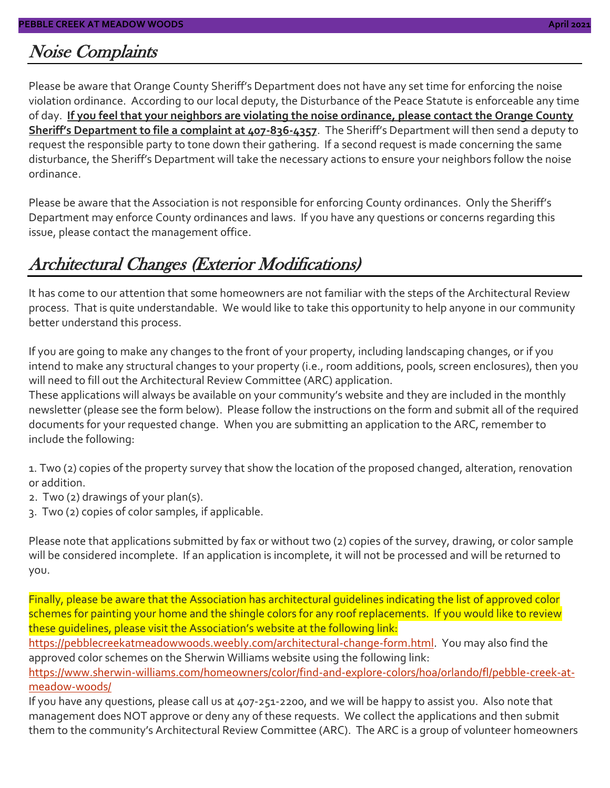#### Noise Complaints

Please be aware that Orange County Sheriff's Department does not have any set time for enforcing the noise violation ordinance. According to our local deputy, the Disturbance of the Peace Statute is enforceable any time of day. **If you feel that your neighbors are violating the noise ordinance, please contact the Orange County Sheriff's Department to file a complaint at 407-836-4357**. The Sheriff's Department will then send a deputy to request the responsible party to tone down their gathering. If a second request is made concerning the same disturbance, the Sheriff's Department will take the necessary actions to ensure your neighbors follow the noise ordinance.

Please be aware that the Association is not responsible for enforcing County ordinances. Only the Sheriff's Department may enforce County ordinances and laws. If you have any questions or concerns regarding this issue, please contact the management office.

#### Architectural Changes (Exterior Modifications)

It has come to our attention that some homeowners are not familiar with the steps of the Architectural Review process. That is quite understandable. We would like to take this opportunity to help anyone in our community better understand this process.

If you are going to make any changes to the front of your property, including landscaping changes, or if you intend to make any structural changes to your property (i.e., room additions, pools, screen enclosures), then you will need to fill out the Architectural Review Committee (ARC) application.

These applications will always be available on your community's website and they are included in the monthly newsletter (please see the form below). Please follow the instructions on the form and submit all of the required documents for your requested change. When you are submitting an application to the ARC, remember to include the following:

1. Two (2) copies of the property survey that show the location of the proposed changed, alteration, renovation or addition.

- 2. Two (2) drawings of your plan(s).
- 3. Two (2) copies of color samples, if applicable.

Please note that applications submitted by fax or without two (2) copies of the survey, drawing, or color sample will be considered incomplete. If an application is incomplete, it will not be processed and will be returned to you.

Finally, please be aware that the Association has architectural guidelines indicating the list of approved color schemes for painting your home and the shingle colors for any roof replacements. If you would like to review these guidelines, please visit the Association's website at the following link:

[https://pebblecreekatmeadowwoods.weebly.com/architectural-change-form.html.](https://pebblecreekatmeadowwoods.weebly.com/architectural-change-form.html) You may also find the approved color schemes on the Sherwin Williams website using the following link:

[https://www.sherwin-williams.com/homeowners/color/find-and-explore-colors/hoa/orlando/fl/pebble-creek-at](https://www.sherwin-williams.com/homeowners/color/find-and-explore-colors/hoa/orlando/fl/pebble-creek-at-meadow-woods/)[meadow-woods/](https://www.sherwin-williams.com/homeowners/color/find-and-explore-colors/hoa/orlando/fl/pebble-creek-at-meadow-woods/)

If you have any questions, please call us at 407-251-2200, and we will be happy to assist you. Also note that management does NOT approve or deny any of these requests. We collect the applications and then submit them to the community's Architectural Review Committee (ARC). The ARC is a group of volunteer homeowners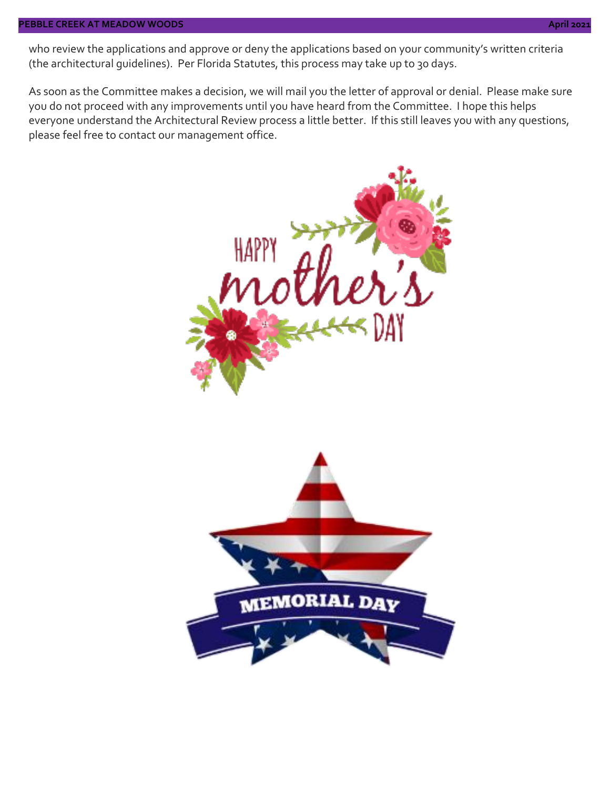#### **PEBBLE CREEK AT MEADOW WOODS April 2021**

who review the applications and approve or deny the applications based on your community's written criteria (the architectural guidelines). Per Florida Statutes, this process may take up to 30 days.

As soon as the Committee makes a decision, we will mail you the letter of approval or denial. Please make sure you do not proceed with any improvements until you have heard from the Committee. I hope this helps everyone understand the Architectural Review process a little better. If this still leaves you with any questions, please feel free to contact our management office.

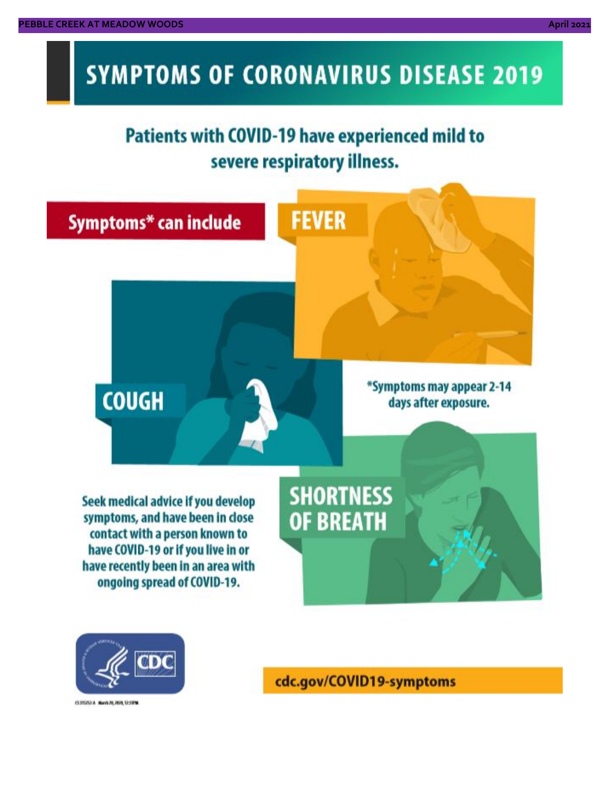# **SYMPTOMS OF CORONAVIRUS DISEASE 2019**

# **Patients with COVID-19 have experienced mild to** severe respiratory illness.





03/02/14 NovA20, 2020, 12:59 M

cdc.gov/COVID19-symptoms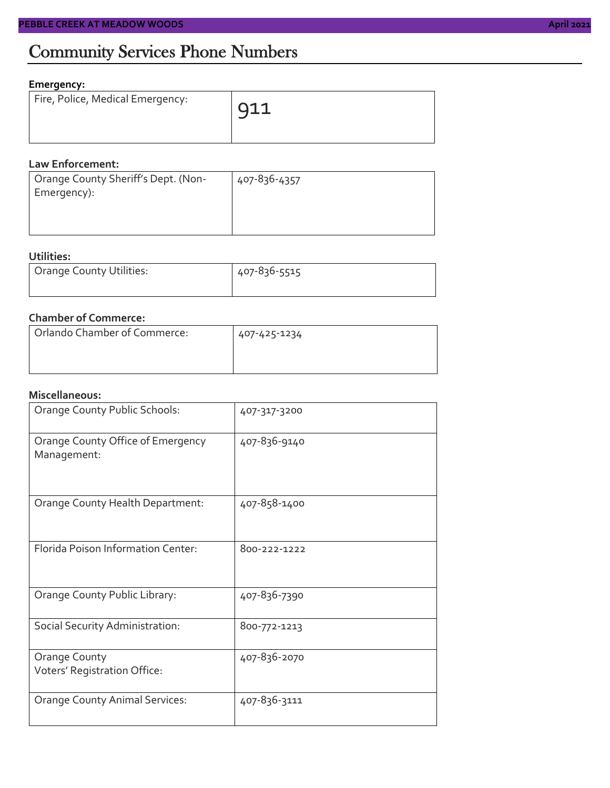# Community Services Phone Numbers

#### **Emergency:**

| Fire, Police, Medical Emergency: | Q11 |
|----------------------------------|-----|
|                                  |     |

#### **Law Enforcement:**

| Orange County Sheriff's Dept. (Non- | 407-836-4357 |
|-------------------------------------|--------------|
| Emergency):                         |              |
|                                     |              |
|                                     |              |

#### **Utilities:**

| Orange County Utilities: | 407-836-5515 |  |  |
|--------------------------|--------------|--|--|
|                          |              |  |  |

#### **Chamber of Commerce:**

| Orlando Chamber of Commerce: | 407-425-1234 |  |  |
|------------------------------|--------------|--|--|
|                              |              |  |  |

#### **Miscellaneous:**

| Orange County Public Schools:                    | 407-317-3200 |
|--------------------------------------------------|--------------|
| Orange County Office of Emergency<br>Management: | 407-836-9140 |
| Orange County Health Department:                 | 407-858-1400 |
| Florida Poison Information Center:               | 800-222-1222 |
| Orange County Public Library:                    | 407-836-7390 |
| Social Security Administration:                  | 800-772-1213 |
| Orange County<br>Voters' Registration Office:    | 407-836-2070 |
| <b>Orange County Animal Services:</b>            | 407-836-3111 |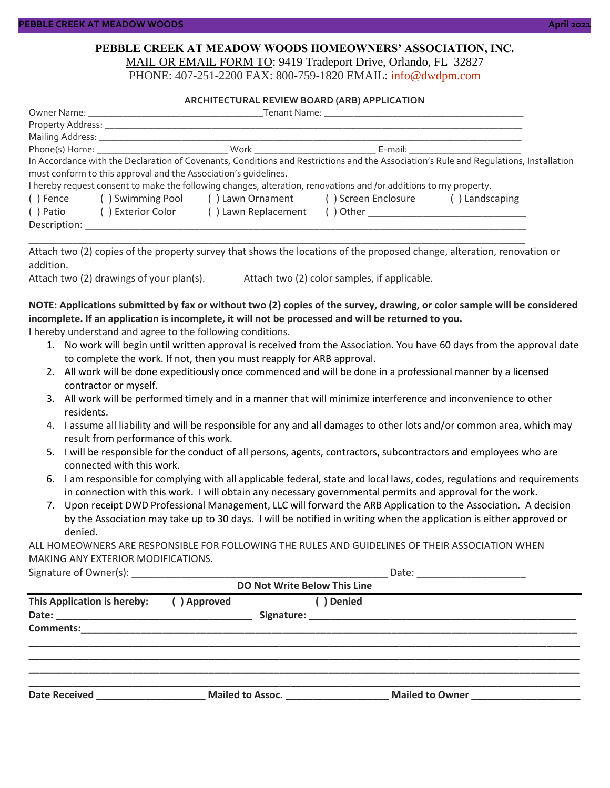#### **PEBBLE CREEK AT MEADOW WOODS HOMEOWNERS' ASSOCIATION, INC.** MAIL OR EMAIL FORM TO: 9419 Tradeport Drive, Orlando, FL 32827

PHONE: 407-251-2200 FAX: 800-759-1820 EMAIL: [info@dwdpm.com](mailto:info@dwdpm.com)

#### **ARCHITECTURAL REVIEW BOARD (ARB) APPLICATION**

|              |                                                                 |                                                                                                                   |  | In Accordance with the Declaration of Covenants, Conditions and Restrictions and the Association's Rule and Requlations, Installation |  |  |
|--------------|-----------------------------------------------------------------|-------------------------------------------------------------------------------------------------------------------|--|---------------------------------------------------------------------------------------------------------------------------------------|--|--|
|              | must conform to this approval and the Association's quidelines. |                                                                                                                   |  |                                                                                                                                       |  |  |
|              |                                                                 | I hereby request consent to make the following changes, alteration, renovations and /or additions to my property. |  |                                                                                                                                       |  |  |
| () Fence     | () Swimming Pool () Lawn Ornament () Screen Enclosure           |                                                                                                                   |  | () Landscaping                                                                                                                        |  |  |
| ( ) Patio    | ( ) Exterior Color                                              | () Lawn Replacement                                                                                               |  |                                                                                                                                       |  |  |
| Description: |                                                                 |                                                                                                                   |  |                                                                                                                                       |  |  |

Attach two (2) copies of the property survey that shows the locations of the proposed change, alteration, renovation or addition.

\_\_\_\_\_\_\_\_\_\_\_\_\_\_\_\_\_\_\_\_\_\_\_\_\_\_\_\_\_\_\_\_\_\_\_\_\_\_\_\_\_\_\_\_\_\_\_\_\_\_\_\_\_\_\_\_\_\_\_\_\_\_\_\_\_\_\_\_\_\_\_\_\_\_\_\_\_\_\_\_\_\_\_\_\_\_\_\_\_\_\_

Attach two (2) drawings of your plan(s). Attach two (2) color samples, if applicable.

#### **NOTE: Applications submitted by fax or without two (2) copies of the survey, drawing, or color sample will be considered incomplete. If an application is incomplete, it will not be processed and will be returned to you.**

I hereby understand and agree to the following conditions.

- 1. No work will begin until written approval is received from the Association. You have 60 days from the approval date to complete the work. If not, then you must reapply for ARB approval.
- 2. All work will be done expeditiously once commenced and will be done in a professional manner by a licensed contractor or myself.
- 3. All work will be performed timely and in a manner that will minimize interference and inconvenience to other residents.
- 4. I assume all liability and will be responsible for any and all damages to other lots and/or common area, which may result from performance of this work.
- 5. I will be responsible for the conduct of all persons, agents, contractors, subcontractors and employees who are connected with this work.
- 6. I am responsible for complying with all applicable federal, state and local laws, codes, regulations and requirements in connection with this work. I will obtain any necessary governmental permits and approval for the work.
- 7. Upon receipt DWD Professional Management, LLC will forward the ARB Application to the Association. A decision by the Association may take up to 30 days. I will be notified in writing when the application is either approved or denied.

ALL HOMEOWNERS ARE RESPONSIBLE FOR FOLLOWING THE RULES AND GUIDELINES OF THEIR ASSOCIATION WHEN MAKING ANY EXTERIOR MODIFICATIONS.

| Signature of C<br>: ()wner(s) |  |
|-------------------------------|--|
|-------------------------------|--|

| <b>DO Not Write Below This Line</b>                                                                                                           |                           |  |                                                                                                                                                                                                                                     |                 |  |
|-----------------------------------------------------------------------------------------------------------------------------------------------|---------------------------|--|-------------------------------------------------------------------------------------------------------------------------------------------------------------------------------------------------------------------------------------|-----------------|--|
| This Application is hereby:                                                                                                                   | ( ) Denied<br>() Approved |  |                                                                                                                                                                                                                                     |                 |  |
|                                                                                                                                               |                           |  |                                                                                                                                                                                                                                     |                 |  |
|                                                                                                                                               |                           |  |                                                                                                                                                                                                                                     |                 |  |
|                                                                                                                                               |                           |  |                                                                                                                                                                                                                                     |                 |  |
|                                                                                                                                               |                           |  |                                                                                                                                                                                                                                     |                 |  |
| <b>Date Received</b><br><u> 1989 - Johann Harry Harry Harry Harry Harry Harry Harry Harry Harry Harry Harry Harry Harry Harry Harry Harry</u> |                           |  | <b>Mailed to Assoc.</b> Note that the same of the same of the same of the same of the same of the same of the same of the same of the same of the same of the same of the same of the same of the same of the same of the same of t | Mailed to Owner |  |